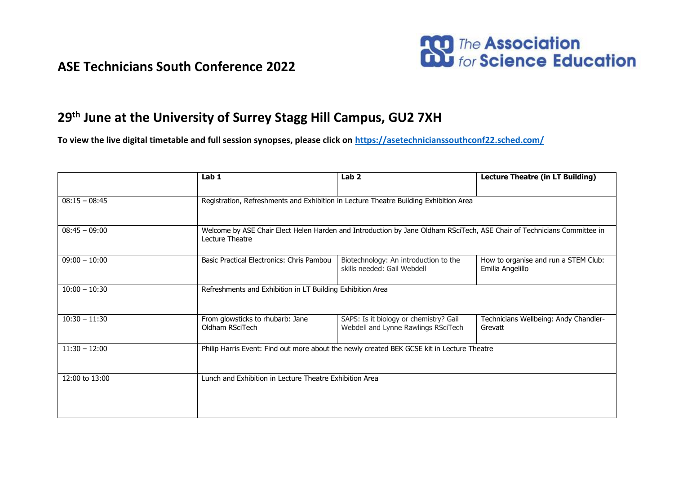## **ASE Technicians South Conference 2022**



## **29th June at the University of Surrey Stagg Hill Campus, GU2 7XH**

**To view the live digital timetable and full session synopses, please click on <https://asetechnicianssouthconf22.sched.com/>**

|                 | Lab 1                                                                                                                                      | Lab <sub>2</sub>                                                              | <b>Lecture Theatre (in LT Building)</b>                  |  |
|-----------------|--------------------------------------------------------------------------------------------------------------------------------------------|-------------------------------------------------------------------------------|----------------------------------------------------------|--|
|                 |                                                                                                                                            |                                                                               |                                                          |  |
| $08:15 - 08:45$ | Registration, Refreshments and Exhibition in Lecture Theatre Building Exhibition Area                                                      |                                                                               |                                                          |  |
|                 |                                                                                                                                            |                                                                               |                                                          |  |
| $08:45 - 09:00$ | Welcome by ASE Chair Elect Helen Harden and Introduction by Jane Oldham RSciTech, ASE Chair of Technicians Committee in<br>Lecture Theatre |                                                                               |                                                          |  |
| $09:00 - 10:00$ | Basic Practical Electronics: Chris Pambou                                                                                                  | Biotechnology: An introduction to the<br>skills needed: Gail Webdell          | How to organise and run a STEM Club:<br>Emilia Angelillo |  |
| $10:00 - 10:30$ | Refreshments and Exhibition in LT Building Exhibition Area                                                                                 |                                                                               |                                                          |  |
| $10:30 - 11:30$ | From glowsticks to rhubarb: Jane<br>Oldham RSciTech                                                                                        | SAPS: Is it biology or chemistry? Gail<br>Webdell and Lynne Rawlings RSciTech | Technicians Wellbeing: Andy Chandler-<br>Grevatt         |  |
| $11:30 - 12:00$ | Philip Harris Event: Find out more about the newly created BEK GCSE kit in Lecture Theatre                                                 |                                                                               |                                                          |  |
| 12:00 to 13:00  | Lunch and Exhibition in Lecture Theatre Exhibition Area                                                                                    |                                                                               |                                                          |  |